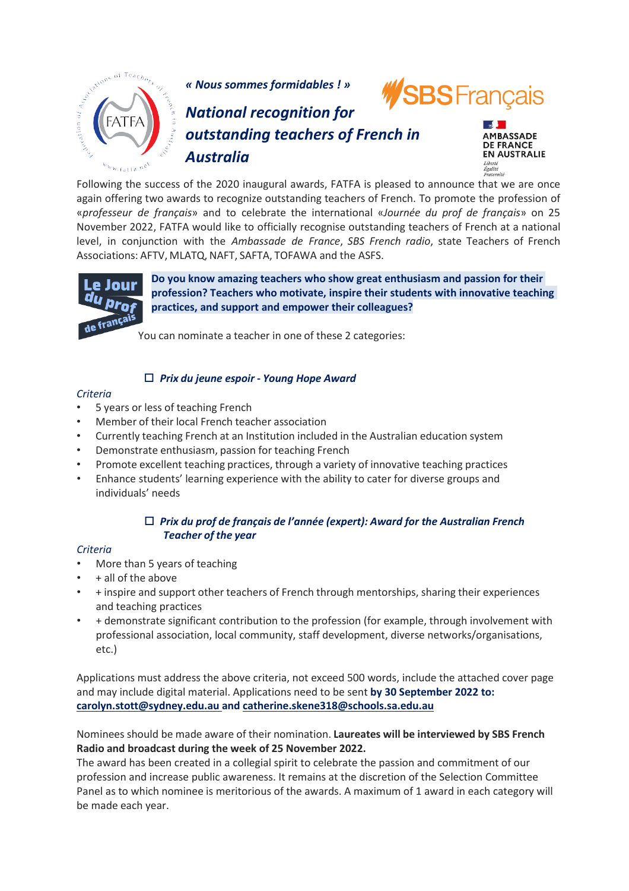

*« Nous sommes formidables ! »*



# *National recognition for outstanding teachers of French in Australia*



Following the success of the 2020 inaugural awards, FATFA is pleased to announce that we are once again offering two awards to recognize outstanding teachers of French. To promote the profession of «*professeur de français*» and to celebrate the international «*Journée du prof de français*» on 25 November 2022, FATFA would like to officially recognise outstanding teachers of French at a national level, in conjunction with the *Ambassade de France*, *SBS French radio*, state Teachers of French Associations: AFTV, MLATQ, NAFT, SAFTA, TOFAWA and the ASFS.



**Do you know amazing teachers who show great enthusiasm and passion for their profession? Teachers who motivate, inspire their students with innovative teaching practices, and support and empower their colleagues?**

You can nominate a teacher in one of these 2 categories:

# *Prix du jeune espoir - Young Hope Award*

#### *Criteria*

- 5 years or less of teaching French
- Member of their local French teacher association
- Currently teaching French at an Institution included in the Australian education system
- Demonstrate enthusiasm, passion for teaching French
- Promote excellent teaching practices, through a variety of innovative teaching practices
- Enhance students' learning experience with the ability to cater for diverse groups and individuals' needs

### *Prix du prof de français de l'année (expert): Award for the Australian French Teacher of the year*

### *Criteria*

- More than 5 years of teaching
- + all of the above
- + inspire and support other teachers of French through mentorships, sharing their experiences and teaching practices
- + demonstrate significant contribution to the profession (for example, through involvement with professional association, local community, staff development, diverse networks/organisations, etc.)

Applications must address the above criteria, not exceed 500 words, include the attached cover page and may include digital material. Applications need to be sent **by 30 September 2022 to: [carolyn.stott@sydney.edu.au a](mailto:carolyn.stott@sydney.edu.au)nd [catherine.skene318@schools.sa.edu.au](mailto:catherine.skene318@schools.sa.edu.au)**

Nominees should be made aware of their nomination. **Laureates will be interviewed by SBS French Radio and broadcast during the week of 25 November 2022.**

The award has been created in a collegial spirit to celebrate the passion and commitment of our profession and increase public awareness. It remains at the discretion of the Selection Committee Panel as to which nominee is meritorious of the awards. A maximum of 1 award in each category will be made each year.